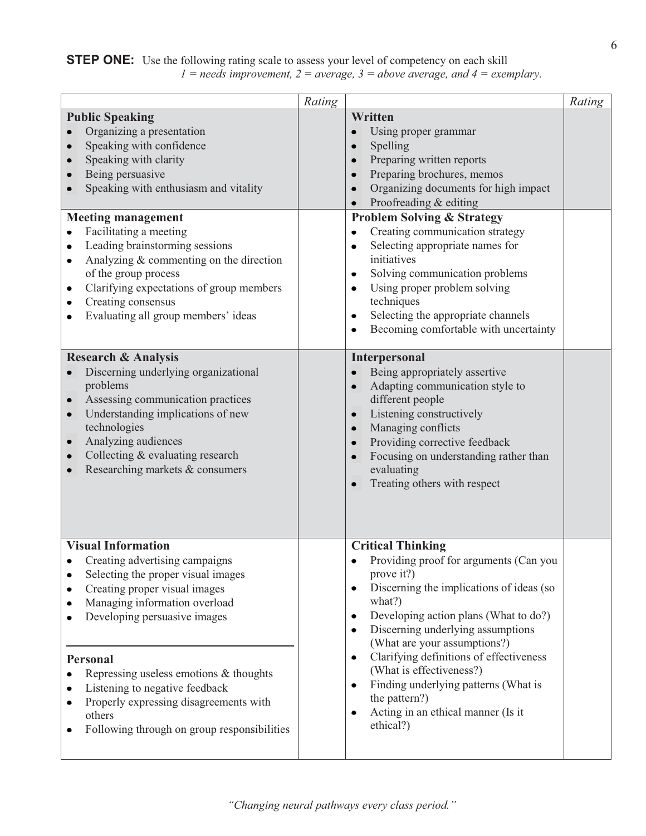## **STEP ONE:** Use the following rating scale to assess your level of competency on each skill *1 = needs improvement, 2 = average, 3 = above average, and 4 = exemplary.*

|                                                                                                                                                                                                                                                                                                                                                                                                                                                                | Rating |                                                                                                                                                                                                                                                                                                                                                                                                                                                                                                                                                                                                         | Rating |
|----------------------------------------------------------------------------------------------------------------------------------------------------------------------------------------------------------------------------------------------------------------------------------------------------------------------------------------------------------------------------------------------------------------------------------------------------------------|--------|---------------------------------------------------------------------------------------------------------------------------------------------------------------------------------------------------------------------------------------------------------------------------------------------------------------------------------------------------------------------------------------------------------------------------------------------------------------------------------------------------------------------------------------------------------------------------------------------------------|--------|
| <b>Public Speaking</b><br>Organizing a presentation<br>Speaking with confidence<br>Speaking with clarity<br>Being persuasive<br>Speaking with enthusiasm and vitality<br><b>Meeting management</b><br>Facilitating a meeting<br>٠<br>Leading brainstorming sessions<br>٠<br>Analyzing & commenting on the direction<br>٠<br>of the group process<br>Clarifying expectations of group members<br>٠<br>Creating consensus<br>Evaluating all group members' ideas |        | Written<br>Using proper grammar<br>$\bullet$<br>Spelling<br>$\bullet$<br>Preparing written reports<br>Preparing brochures, memos<br>$\bullet$<br>Organizing documents for high impact<br>$\bullet$<br>Proofreading & editing<br>$\bullet$<br><b>Problem Solving &amp; Strategy</b><br>Creating communication strategy<br>$\bullet$<br>Selecting appropriate names for<br>$\bullet$<br>initiatives<br>Solving communication problems<br>$\bullet$<br>Using proper problem solving<br>techniques<br>Selecting the appropriate channels<br>$\bullet$<br>Becoming comfortable with uncertainty<br>$\bullet$ |        |
| <b>Research &amp; Analysis</b><br>Discerning underlying organizational<br>problems<br>Assessing communication practices<br>$\bullet$<br>Understanding implications of new<br>technologies<br>Analyzing audiences<br>$\bullet$<br>Collecting & evaluating research<br>Researching markets & consumers                                                                                                                                                           |        | <b>Interpersonal</b><br>Being appropriately assertive<br>$\bullet$<br>Adapting communication style to<br>$\bullet$<br>different people<br>Listening constructively<br>$\bullet$<br>Managing conflicts<br>$\bullet$<br>Providing corrective feedback<br>$\bullet$<br>Focusing on understanding rather than<br>evaluating<br>Treating others with respect<br>$\bullet$                                                                                                                                                                                                                                    |        |
| <b>Visual Information</b><br>Creating advertising campaigns<br>Selecting the proper visual images<br>Creating proper visual images<br>Managing information overload<br>Developing persuasive images<br><b>Personal</b><br>Repressing useless emotions & thoughts<br>Listening to negative feedback<br>Properly expressing disagreements with<br>٠<br>others<br>Following through on group responsibilities<br>٠                                                |        | <b>Critical Thinking</b><br>Providing proof for arguments (Can you<br>prove it?)<br>Discerning the implications of ideas (so<br>$\bullet$<br>what?)<br>Developing action plans (What to do?)<br>Discerning underlying assumptions<br>$\bullet$<br>(What are your assumptions?)<br>Clarifying definitions of effectiveness<br>$\bullet$<br>(What is effectiveness?)<br>Finding underlying patterns (What is<br>$\bullet$<br>the pattern?)<br>Acting in an ethical manner (Is it<br>٠<br>ethical?)                                                                                                        |        |